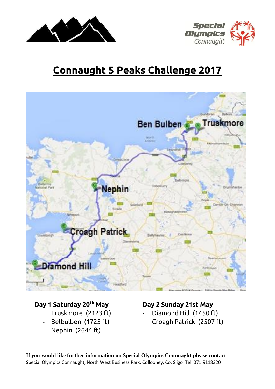



# **Connaught 5 Peaks Challenge 2017**



#### **Day 1 Saturday 20th May Day 2 Sunday 21st May**

- 
- 
- Nephin (2644 ft)

- Truskmore (2123 ft) Diamond Hill (1450 ft)
- Belbulben (1725 ft) Croagh Patrick (2507 ft)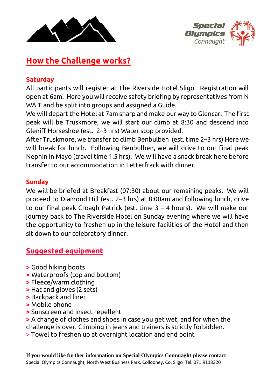



## **How the Challenge works?**

### **Saturday**

All participants will register at The Riverside Hotel Sligo. Registration will open at 6am. Here you will receive safety briefing by representatives from N WA T and be split into groups and assigned a Guide.

We will depart the Hotel at 7am sharp and make our way to Glencar. The first peak will be Truskmore, we will start our climb at 8:30 and descend into Gleniff Horseshoe (est. 2–3 hrs) Water stop provided.

After Truskmore, we transfer to climb Benbulben (est. time 2–3 hrs) Here we will break for lunch. Following Benbulben, we will drive to our final peak Nephin in Mayo (travel time 1.5 hrs). We will have a snack break here before transfer to our accommodation in Letterfrack with dinner.

#### **Sunday**

We will be briefed at Breakfast (07:30) about our remaining peaks. We will proceed to Diamond Hill (est. 2–3 hrs) at 8:00am and following lunch, drive to our final peak Croagh Patrick (est. time 3 – 4 hours). We will make our journey back to The Riverside Hotel on Sunday evening where we will have the opportunity to freshen up in the leisure facilities of the Hotel and then sit down to our celebratory dinner.

## **Suggested equipment**

- **>** Good hiking boots
- **>** Waterproofs (top and bottom)
- **>** Fleece/warm clothing
- **>** Hat and gloves (2 sets)
- **>** Backpack and liner
- **>** Mobile phone
- **>** Sunscreen and insect repellent
- **>** A change of clothes and shoes in case you get wet, and for when the challenge is over. Climbing in jeans and trainers is strictly forbidden.
- > Towel to freshen up at overnight location and end point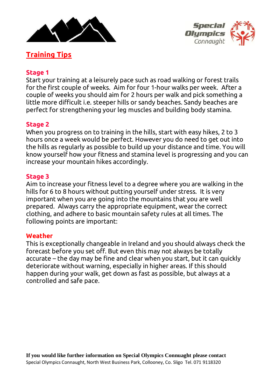



## **Training Tips**

#### **Stage 1**

Start your training at a leisurely pace such as road walking or forest trails for the first couple of weeks. Aim for four 1-hour walks per week. After a couple of weeks you should aim for 2 hours per walk and pick something a little more difficult i.e. steeper hills or sandy beaches. Sandy beaches are perfect for strengthening your leg muscles and building body stamina.

#### **Stage 2**

When you progress on to training in the hills, start with easy hikes, 2 to 3 hours once a week would be perfect. However you do need to get out into the hills as regularly as possible to build up your distance and time. You will know yourself how your fitness and stamina level is progressing and you can increase your mountain hikes accordingly.

#### **Stage 3**

Aim to increase your fitness level to a degree where you are walking in the hills for 6 to 8 hours without putting yourself under stress. It is very important when you are going into the mountains that you are well prepared. Always carry the appropriate equipment, wear the correct clothing, and adhere to basic mountain safety rules at all times. The following points are important:

#### **Weather**

This is exceptionally changeable in Ireland and you should always check the forecast before you set off. But even this may not always be totally accurate – the day may be fine and clear when you start, but it can quickly deteriorate without warning, especially in higher areas. If this should happen during your walk, get down as fast as possible, but always at a controlled and safe pace.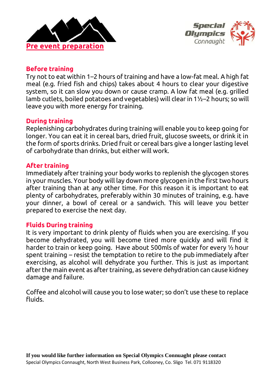



#### **Before training**

Try not to eat within 1–2 hours of training and have a low-fat meal. A high fat meal (e.g. fried fish and chips) takes about 4 hours to clear your digestive system, so it can slow you down or cause cramp. A low fat meal (e.g. grilled lamb cutlets, boiled potatoes and vegetables) will clear in 1½–2 hours; so will leave you with more energy for training.

#### **During training**

Replenishing carbohydrates during training will enable you to keep going for longer. You can eat it in cereal bars, dried fruit, glucose sweets, or drink it in the form of sports drinks. Dried fruit or cereal bars give a longer lasting level of carbohydrate than drinks, but either will work.

#### **After training**

Immediately after training your body works to replenish the glycogen stores in your muscles. Your body will lay down more glycogen in the first two hours after training than at any other time. For this reason it is important to eat plenty of carbohydrates, preferably within 30 minutes of training, e.g. have your dinner, a bowl of cereal or a sandwich. This will leave you better prepared to exercise the next day.

#### **Fluids During training**

It is very important to drink plenty of fluids when you are exercising. If you become dehydrated, you will become tired more quickly and will find it harder to train or keep going. Have about 500mls of water for every ½ hour spent training – resist the temptation to retire to the pub immediately after exercising, as alcohol will dehydrate you further. This is just as important after the main event as after training, as severe dehydration can cause kidney damage and failure.

Coffee and alcohol will cause you to lose water; so don't use these to replace fluids.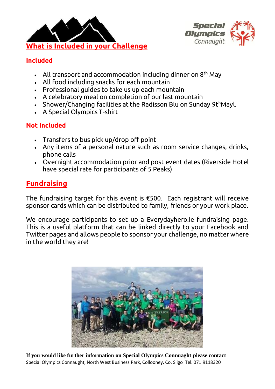



## **Included**

- All transport and accommodation including dinner on  $8<sup>th</sup>$  May
- All food including snacks for each mountain
- Professional guides to take us up each mountain
- A celebratory meal on completion of our last mountain
- Shower/Changing facilities at the Radisson Blu on Sunday 9th Mayl.
- A Special Olympics T-shirt

## **Not Included**

- Transfers to bus pick up/drop off point
- Any items of a personal nature such as room service changes, drinks, phone calls
- Overnight accommodation prior and post event dates (Riverside Hotel have special rate for participants of 5 Peaks)

## **Fundraising**

The fundraising target for this event is €500. Each registrant will receive sponsor cards which can be distributed to family, friends or your work place.

We encourage participants to set up a Everydayhero.ie fundraising page. This is a useful platform that can be linked directly to your Facebook and Twitter pages and allows people to sponsor your challenge, no matter where in the world they are!

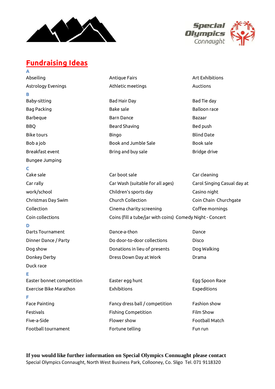



## **Fundraising Ideas**

**A** Abseiling Research Contract Antique Fairs Art Exhibitions Art Exhibitions Astrology Evenings Athletic meetings Auctions **B** Baby-sitting Bad Bad Hair Day Bad Hair Day Bad Tie day Bag Packing **Bake sale** Bake sale Balloon race Barbeque Barn Dance Bazaar BBQ Beard Shaving Beard Shaving Bed push Bike tours Bingo Blind Date Bob a job Book and Jumble Sale Book sale Book sale Breakfast event the state of the Bring and buy sale the Bridge drive Bridge drive Bungee Jumping **C** Cake sale Car boot sale Car cleaning Car rally Car Wash (suitable for all ages) Carol Singing Casual day at work/school Children's sports day Casino night Christmas Day Swim Church Collection Coin Chain Churchgate Collection Cinema charity screening Coffee mornings Coin collections Coins (fill a tube/jar with coins) Comedy Night - Concert **D** Darts Tournament Dance-a-thon Dance Dinner Dance / Party Do door-to-door collections Disco Dog show Donations in lieu of presents Dog Walking Donkey Derby Dress Down Day at Work Drama Duck race **E** Easter bonnet competition Easter egg hunt Egg Spoon Race Exercise Bike Marathon Exhibitions Expeditions **F** Face Painting Face Painting Fancy dress ball / competition Fashion show Festivals Fishing Competition Film Show Five-a-Side Flower show Football Match Football tournament Fortune telling Fun run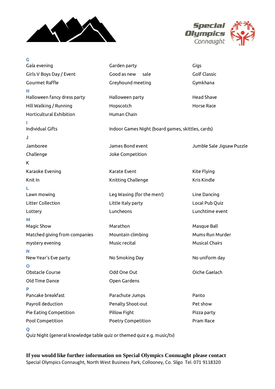



| G                             |                                                   |                           |
|-------------------------------|---------------------------------------------------|---------------------------|
| Gala evening                  | Garden party                                      | Gigs                      |
| Girls V Boys Day / Event      | Good as new<br>sale                               | <b>Golf Classic</b>       |
| <b>Gourmet Raffle</b>         | Greyhound meeting                                 | Gymkhana                  |
| н.                            |                                                   |                           |
| Halloween fancy dress party   | Halloween party                                   | <b>Head Shave</b>         |
| Hill Walking / Running        | Hopscotch                                         | Horse Race                |
| Horticultural Exhibition      | Human Chain                                       |                           |
|                               |                                                   |                           |
| <b>Individual Gifts</b>       | Indoor Games Night (board games, skittles, cards) |                           |
| J                             |                                                   |                           |
| Jamboree                      | James Bond event                                  | Jumble Sale Jigsaw Puzzle |
| Challenge                     | Joke Competition                                  |                           |
| Κ                             |                                                   |                           |
| Karaoke Evening               | Karate Event                                      | Kite Flying               |
| Knit In                       | Knitting Challenge                                | Kris Kindle               |
|                               |                                                   |                           |
| Lawn mowing                   | Leg Waxing (for the men!)                         | Line Dancing              |
| Litter Collection             | Little Italy party                                | Local Pub Quiz            |
| Lottery                       | Luncheons                                         | Lunchtime event           |
| M                             |                                                   |                           |
| Magic Show                    | Marathon                                          | Masque Ball               |
| Matched giving from companies | Mountain climbing                                 | Mums Run Murder           |
| mystery evening               | Music recital                                     | <b>Musical Chairs</b>     |
| N                             |                                                   |                           |
| New Year's Eve party          | No Smoking Day                                    | No uniform day            |
|                               |                                                   |                           |
| Obstacle Course               | Odd One Out                                       | Oiche Gaelach             |
| Old Time Dance                | Open Gardens                                      |                           |
| P                             |                                                   |                           |
| Pancake breakfast             | Parachute Jumps                                   | Panto                     |
| Payroll deduction             | Penalty Shoot-out                                 | Pet show                  |
| Pie Eating Competition        | Pillow Fight                                      | Pizza party               |
| Pool Competition              | Poetry Competition                                | Pram Race                 |
| $\mathbf o$                   |                                                   |                           |

Quiz Night (general knowledge table quiz or themed quiz e.g. music/tv)